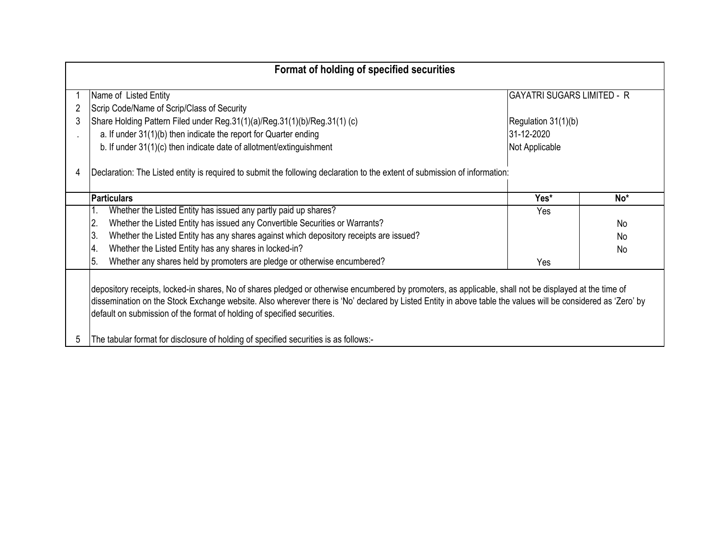| Format of holding of specified securities                                                                                                                                                                                                                                                                                                                                                                                                                                                      |                                                                                                                            |                                   |                 |  |  |  |  |  |  |  |  |  |
|------------------------------------------------------------------------------------------------------------------------------------------------------------------------------------------------------------------------------------------------------------------------------------------------------------------------------------------------------------------------------------------------------------------------------------------------------------------------------------------------|----------------------------------------------------------------------------------------------------------------------------|-----------------------------------|-----------------|--|--|--|--|--|--|--|--|--|
|                                                                                                                                                                                                                                                                                                                                                                                                                                                                                                | Name of Listed Entity                                                                                                      | <b>GAYATRI SUGARS LIMITED - R</b> |                 |  |  |  |  |  |  |  |  |  |
|                                                                                                                                                                                                                                                                                                                                                                                                                                                                                                | Scrip Code/Name of Scrip/Class of Security                                                                                 |                                   |                 |  |  |  |  |  |  |  |  |  |
|                                                                                                                                                                                                                                                                                                                                                                                                                                                                                                | Share Holding Pattern Filed under Reg.31(1)(a)/Reg.31(1)(b)/Reg.31(1) (c)                                                  | Regulation 31(1)(b)               |                 |  |  |  |  |  |  |  |  |  |
|                                                                                                                                                                                                                                                                                                                                                                                                                                                                                                | a. If under 31(1)(b) then indicate the report for Quarter ending                                                           | 31-12-2020                        |                 |  |  |  |  |  |  |  |  |  |
|                                                                                                                                                                                                                                                                                                                                                                                                                                                                                                | b. If under 31(1)(c) then indicate date of allotment/extinguishment                                                        | Not Applicable                    |                 |  |  |  |  |  |  |  |  |  |
| 4                                                                                                                                                                                                                                                                                                                                                                                                                                                                                              | Declaration: The Listed entity is required to submit the following declaration to the extent of submission of information: |                                   |                 |  |  |  |  |  |  |  |  |  |
|                                                                                                                                                                                                                                                                                                                                                                                                                                                                                                | <b>Particulars</b>                                                                                                         | Yes*                              | No <sup>*</sup> |  |  |  |  |  |  |  |  |  |
|                                                                                                                                                                                                                                                                                                                                                                                                                                                                                                | Whether the Listed Entity has issued any partly paid up shares?                                                            | Yes                               |                 |  |  |  |  |  |  |  |  |  |
|                                                                                                                                                                                                                                                                                                                                                                                                                                                                                                | Whether the Listed Entity has issued any Convertible Securities or Warrants?<br>12.                                        |                                   | N <sub>0</sub>  |  |  |  |  |  |  |  |  |  |
|                                                                                                                                                                                                                                                                                                                                                                                                                                                                                                | Whether the Listed Entity has any shares against which depository receipts are issued?<br>13.                              |                                   | No.             |  |  |  |  |  |  |  |  |  |
|                                                                                                                                                                                                                                                                                                                                                                                                                                                                                                | Whether the Listed Entity has any shares in locked-in?<br>Α.                                                               |                                   | N <sub>0</sub>  |  |  |  |  |  |  |  |  |  |
|                                                                                                                                                                                                                                                                                                                                                                                                                                                                                                | Whether any shares held by promoters are pledge or otherwise encumbered?<br>15.                                            | Yes                               |                 |  |  |  |  |  |  |  |  |  |
| depository receipts, locked-in shares, No of shares pledged or otherwise encumbered by promoters, as applicable, shall not be displayed at the time of<br>dissemination on the Stock Exchange website. Also wherever there is 'No' declared by Listed Entity in above table the values will be considered as 'Zero' by<br>default on submission of the format of holding of specified securities.<br>The tabular format for disclosure of holding of specified securities is as follows:-<br>5 |                                                                                                                            |                                   |                 |  |  |  |  |  |  |  |  |  |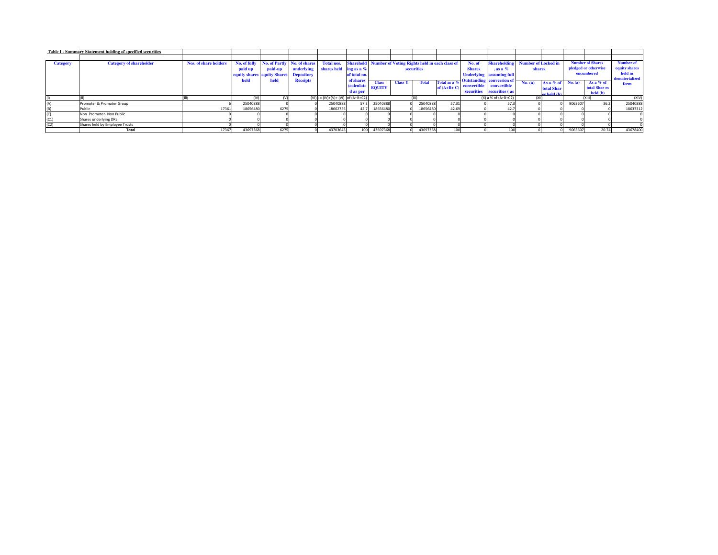| Table I - Summary Statement holding of specified securities |                                |                       |              |                                    |                   |                                |                   |               |                                                                |          |              |               |                                  |         |                            |                      |                         |                  |
|-------------------------------------------------------------|--------------------------------|-----------------------|--------------|------------------------------------|-------------------|--------------------------------|-------------------|---------------|----------------------------------------------------------------|----------|--------------|---------------|----------------------------------|---------|----------------------------|----------------------|-------------------------|------------------|
|                                                             |                                |                       |              |                                    |                   |                                |                   |               |                                                                |          |              |               |                                  |         |                            |                      |                         |                  |
| <b>Category</b>                                             | <b>Category of shareholder</b> | Nos. of share holders | No. of fully | No. of Partly No. of shares        |                   | <b>Total nos.</b>              |                   |               | <b>Sharehold</b> Number of Voting Rights held in each class of |          |              | No. of        | <b>Shareholding</b>              |         | <b>Number of Locked in</b> |                      | <b>Number of Shares</b> | <b>Number of</b> |
|                                                             |                                |                       | paid up      | paid-up                            | underlying        | shares held ing as a %         |                   |               | securities                                                     |          |              | <b>Shares</b> | $\cdot$ as a %                   | shares  |                            | pledged or otherwise |                         | equity shares    |
|                                                             |                                |                       |              | <b>equity shares</b> equity Shares | <b>Depository</b> |                                | of total no.      |               |                                                                |          |              |               | <b>Underlying</b> assuming full  |         |                            | encumbered           | held in                 |                  |
|                                                             |                                |                       | held         | held                               | <b>Receipts</b>   |                                | of shares         | <b>Class</b>  | <b>Class Y</b><br><b>Total</b><br>Total as a %                 |          |              |               | <b>Outstanding</b> conversion of | No. (a) | As a % of                  | No. (a)              | As a $%$ of             | dematerialized   |
|                                                             |                                |                       |              |                                    |                   |                                | <b>(calculate</b> | <b>EQUITY</b> |                                                                |          | of $(A+B+C)$ | convertible   | convertible                      |         | total Shar                 |                      | total Shar es           | form             |
|                                                             |                                |                       |              |                                    |                   |                                | d as per          |               |                                                                |          |              |               | securities securities (as        |         | es held (h)                |                      | held (b)                |                  |
|                                                             |                                |                       | (IV)         |                                    | $(VI)$ :          | = $(IV)+(V)+(V)$ of $(A+B+C2)$ |                   |               |                                                                |          |              |               | $(X)$ a % of $(A+B+C2)$          | (X  )   |                            |                      | (XIII                   | (XIV)            |
|                                                             | Promoter & Promoter Group      |                       | 25040888     |                                    |                   | 25040888                       | 57.3              | 25040888      |                                                                | 25040888 | 57.31        |               | 57.3                             |         |                            | 9063607              | 36.2                    | 25040888         |
| (B)                                                         | Public                         | 17361                 | 18656480     | 6275                               |                   | 18662755                       | 42.7              | 18656480      |                                                                | 18656480 | 42.69        |               | 42.7                             |         |                            |                      |                         | 18637312         |
| (C)                                                         | Non Promoter- Non Public       |                       |              |                                    |                   |                                |                   |               |                                                                |          |              |               |                                  |         |                            |                      |                         |                  |
| (C1)                                                        | Shares underlying DRs          |                       |              |                                    |                   |                                |                   |               |                                                                |          |              |               |                                  |         |                            |                      |                         |                  |
| (C2)                                                        | Shares held by Employee Trusts |                       |              |                                    |                   |                                |                   |               |                                                                |          |              |               |                                  |         |                            |                      |                         |                  |
|                                                             | Total                          | 17367                 | 43697368     | 6275                               |                   | 43703643                       | 100               | 43697368      |                                                                | 43697368 | 100          |               | 100                              |         |                            | 9063607              | 20.74                   | 43678400         |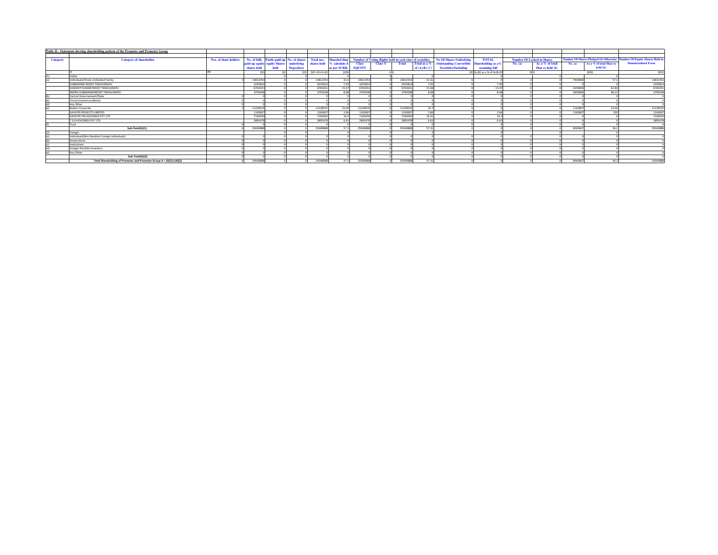|                 | Table II - Statement showing shareholding pattern of the Promoter and Promoter Group |                       |             |                                           |                   |                       |                           |               |                |                                                          |              |                                                          |                                |                                   |                  |         |                                              |                                        |
|-----------------|--------------------------------------------------------------------------------------|-----------------------|-------------|-------------------------------------------|-------------------|-----------------------|---------------------------|---------------|----------------|----------------------------------------------------------|--------------|----------------------------------------------------------|--------------------------------|-----------------------------------|------------------|---------|----------------------------------------------|----------------------------------------|
|                 |                                                                                      |                       |             |                                           |                   |                       |                           |               |                |                                                          |              |                                                          |                                |                                   |                  |         |                                              |                                        |
| <b>Category</b> | <b>Category of shareholder</b>                                                       | Nos. of share holders |             | No. of fully Partly paid-up No. of shares |                   | <b>Total nos.</b>     | <b>Sharehol ding</b>      |               |                | Number of Voting Rights held in each class of securities |              | <b>No Of Shares Underlying</b>                           | <b>TOTAL</b>                   | <b>Number Of Locked in Shares</b> |                  |         | <b>Number Of Shares Pledged Or Otherwise</b> | <b>Number Of Equity Shares Held in</b> |
|                 |                                                                                      |                       |             | paid up equity equity Shares              | underlying        |                       | shares held % calculate d | <b>Class</b>  | <b>Class Y</b> | <b>Total</b>                                             |              | Total as a % Outstanding Convertible Shareholding as a % |                                | No. (a)                           | As a % of total  | No. (a) | As a % of total Shares                       | <b>Dematerialized Form</b>             |
|                 |                                                                                      |                       | shares held |                                           | <b>Depository</b> |                       | as per SCRR,              | <b>EQUITY</b> |                |                                                          | of $(A+B+C)$ | <b>Securities</b> (Including                             | assuming full                  |                                   | Shar es held (b) |         | held (b)                                     |                                        |
|                 |                                                                                      |                       |             |                                           |                   | $(VII = IV + V + VI)$ |                           |               |                | (1)                                                      |              |                                                          | $(X)$ II)+(X) as a % of A+B+C2 | <b>OCUL</b>                       |                  |         | (XIII)                                       | (XIV)                                  |
|                 |                                                                                      |                       |             |                                           |                   |                       |                           |               |                |                                                          |              |                                                          |                                |                                   |                  |         |                                              |                                        |
|                 | Individuals/Hindu Undivided Family                                                   |                       | 13812353    |                                           |                   | 13812353              | 31.6                      | 13812353      |                | 13812353                                                 | 31.61        |                                                          |                                |                                   |                  | 7900000 | 57                                           | 1381235                                |
|                 | SUBBARAMI REDDY TIKKAVARAPU                                                          |                       | 325581      |                                           |                   | 3255814               | 7.45                      | 3255814       |                | 3255814                                                  | 7.45         |                                                          | 7.45                           |                                   |                  |         |                                              | 3255814                                |
|                 | SANDEEP KUMAR REDDY TIKKAVARAPU                                                      |                       | 6763031     |                                           |                   | 6763031               | 15.47                     | 6763033       |                | 6763031                                                  | 15.48        |                                                          | 15.47                          |                                   |                  | 4250000 | 62.84                                        | 6763031                                |
|                 | INDIRA SUBBARAMIREDDY TIKKAVARAPU                                                    |                       | 379350      |                                           |                   | 379350                | 9.69                      | 3793508       |                | 3793508                                                  | 8.68         |                                                          | 8.68                           |                                   |                  | 3650000 | 96.22                                        | 3793508                                |
|                 | Central Governament/State                                                            |                       |             |                                           |                   |                       |                           |               |                |                                                          |              |                                                          |                                |                                   |                  |         |                                              |                                        |
|                 | Fincial Institutions/Banks                                                           |                       |             |                                           |                   |                       |                           |               |                |                                                          |              |                                                          |                                |                                   |                  |         |                                              |                                        |
|                 | Any Other                                                                            |                       |             |                                           |                   |                       |                           |               |                |                                                          |              |                                                          |                                |                                   |                  |         |                                              |                                        |
|                 | <b>Bodies Corporate</b>                                                              |                       | 1122853     |                                           |                   | 11228535              | 25.69                     | 1122853       |                | 11228535                                                 | 25.7         |                                                          |                                |                                   |                  | 1163607 | 10.36                                        | 1122853                                |
|                 | <b>GAYATRI PROJECTS LIMITED</b>                                                      |                       | 116360      |                                           |                   | 1163607               | 2.66                      | 116360        |                | 1163607                                                  | 2.66         |                                                          | 2.66                           |                                   |                  | 1163607 |                                              | 1163607                                |
|                 | <b>GAYATRI FIN-HOLDINGS PVT LTD</b>                                                  |                       | 7169450     |                                           |                   | 7169450               | 164                       | 7169450       |                | 7169450                                                  | 16.41        |                                                          | 164                            |                                   |                  |         |                                              | 7169450                                |
|                 | T.S.R.HOLDINGS PVT LTD                                                               |                       | 2895478     |                                           |                   | 289547                | 6.63                      | 289547        |                | 2895478                                                  | 6.63         |                                                          | 6.63                           |                                   |                  |         |                                              | 2895478                                |
|                 | Trust                                                                                |                       |             |                                           |                   |                       |                           |               |                |                                                          |              |                                                          |                                |                                   |                  |         |                                              |                                        |
|                 | Sub-Total(A)(1)                                                                      |                       | 25040888    |                                           |                   | 25040888              | 572                       | 25040888      |                | 25040888                                                 | 57.31        |                                                          |                                |                                   |                  | 9063607 |                                              | 25040888                               |
|                 | Foregin                                                                              |                       |             |                                           |                   |                       |                           |               |                |                                                          |              |                                                          |                                |                                   |                  |         |                                              |                                        |
|                 | Individuals(Non Resident Foreign Individuals)                                        |                       |             |                                           |                   |                       |                           |               |                |                                                          |              |                                                          |                                |                                   |                  |         |                                              |                                        |
|                 | Government                                                                           |                       |             |                                           |                   |                       |                           |               |                |                                                          |              |                                                          |                                |                                   |                  |         |                                              |                                        |
|                 | Institutions                                                                         |                       |             |                                           |                   |                       |                           |               |                |                                                          |              |                                                          |                                |                                   |                  |         |                                              |                                        |
|                 | Foregin Portfolio Investors                                                          |                       |             |                                           |                   |                       |                           |               |                |                                                          |              |                                                          |                                |                                   |                  |         |                                              |                                        |
|                 | Any Other                                                                            |                       |             |                                           |                   |                       |                           |               |                |                                                          |              |                                                          |                                |                                   |                  |         |                                              |                                        |
|                 | Sub-Total(A)(2)                                                                      |                       |             |                                           |                   |                       |                           |               |                |                                                          |              |                                                          |                                |                                   |                  |         |                                              |                                        |
|                 | Total Shareholding of Promoter and Promoter Group A = (A)(1)+(A)(2)                  |                       | 25040888    |                                           |                   | 2504088               | 573                       | 2504088       |                | 25040888                                                 | 57.31        |                                                          |                                |                                   |                  | 9063607 |                                              | 25040888                               |